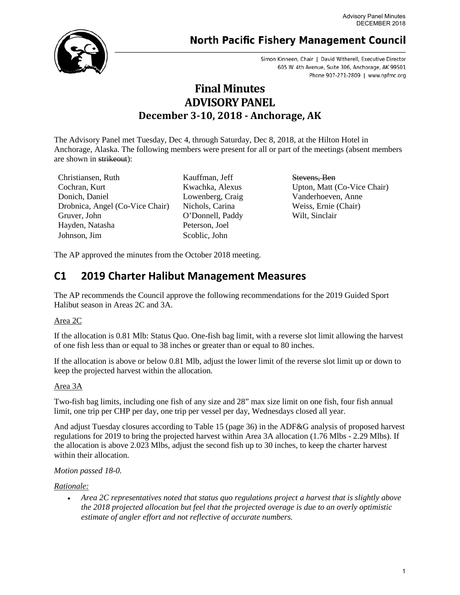# **North Pacific Fishery Management Council**

Simon Kinneen, Chair | David Witherell, Executive Director 605 W. 4th Avenue, Suite 306, Anchorage, AK 99501 Phone 907-271-2809 | www.npfmc.org

# **Final Minutes ADVISORY PANEL December 3-10, 2018 - Anchorage, AK**

The Advisory Panel met Tuesday, Dec 4, through Saturday, Dec 8, 2018, at the Hilton Hotel in Anchorage, Alaska. The following members were present for all or part of the meetings (absent members are shown in strikeout):

Christiansen, Ruth Kauffman, Jeff Stevens, Ben Cochran, Kurt Kwachka, Alexus Upton, Matt (Co-Vice Chair) Donich, Daniel Lowenberg, Craig Vanderhoeven, Anne Drobnica, Angel (Co-Vice Chair) Nichols, Carina Weiss, Ernie (Chair) Gruver, John O'Donnell, Paddy Wilt, Sinclair Hayden, Natasha Peterson, Joel Johnson, Jim Scoblic, John

The AP approved the minutes from the October 2018 meeting.

# **C1 2019 Charter Halibut Management Measures**

The AP recommends the Council approve the following recommendations for the 2019 Guided Sport Halibut season in Areas 2C and 3A.

### Area 2C

If the allocation is 0.81 Mlb: Status Quo. One-fish bag limit, with a reverse slot limit allowing the harvest of one fish less than or equal to 38 inches or greater than or equal to 80 inches.

If the allocation is above or below 0.81 Mlb, adjust the lower limit of the reverse slot limit up or down to keep the projected harvest within the allocation.

### Area 3A

Two-fish bag limits, including one fish of any size and 28" max size limit on one fish, four fish annual limit, one trip per CHP per day, one trip per vessel per day, Wednesdays closed all year.

And adjust Tuesday closures according to Table 15 (page 36) in the ADF&G analysis of proposed harvest regulations for 2019 to bring the projected harvest within Area 3A allocation (1.76 Mlbs - 2.29 Mlbs). If the allocation is above 2.023 Mlbs, adjust the second fish up to 30 inches, to keep the charter harvest within their allocation.

### *Motion passed 18-0.*

### *Rationale:*

• *Area 2C representatives noted that status quo regulations project a harvest that is slightly above the 2018 projected allocation but feel that the projected overage is due to an overly optimistic estimate of angler effort and not reflective of accurate numbers.*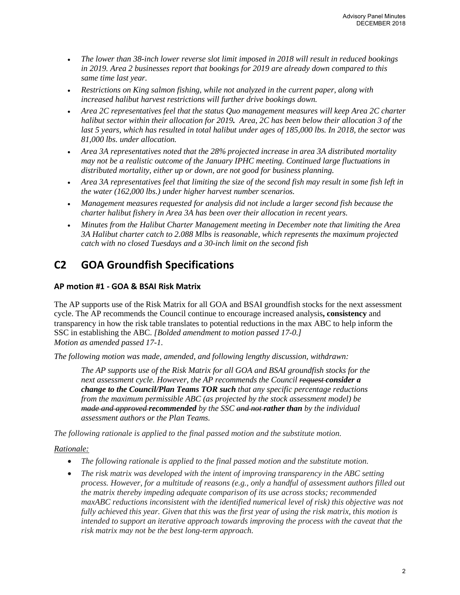- *The lower than 38-inch lower reverse slot limit imposed in 2018 will result in reduced bookings in 2019. Area 2 businesses report that bookings for 2019 are already down compared to this same time last year.*
- *Restrictions on King salmon fishing, while not analyzed in the current paper, along with increased halibut harvest restrictions will further drive bookings down.*
- *Area 2C representatives feel that the status Quo management measures will keep Area 2C charter halibut sector within their allocation for 2019. Area, 2C has been below their allocation 3 of the last 5 years, which has resulted in total halibut under ages of 185,000 lbs. In 2018, the sector was 81,000 lbs. under allocation.*
- *Area 3A representatives noted that the 28% projected increase in area 3A distributed mortality may not be a realistic outcome of the January IPHC meeting. Continued large fluctuations in distributed mortality, either up or down, are not good for business planning.*
- *Area 3A representatives feel that limiting the size of the second fish may result in some fish left in the water (162,000 lbs.) under higher harvest number scenarios.*
- *Management measures requested for analysis did not include a larger second fish because the charter halibut fishery in Area 3A has been over their allocation in recent years.*
- *Minutes from the Halibut Charter Management meeting in December note that limiting the Area 3A Halibut charter catch to 2.088 Mlbs is reasonable, which represents the maximum projected catch with no closed Tuesdays and a 30-inch limit on the second fish*

# **C2 GOA Groundfish Specifications**

### **AP motion #1 - GOA & BSAI Risk Matrix**

The AP supports use of the Risk Matrix for all GOA and BSAI groundfish stocks for the next assessment cycle. The AP recommends the Council continue to encourage increased analysis**, consistency** and transparency in how the risk table translates to potential reductions in the max ABC to help inform the SSC in establishing the ABC. *[Bolded amendment to motion passed 17-0.] Motion as amended passed 17-1.*

*The following motion was made, amended, and following lengthy discussion, withdrawn:*

*The AP supports use of the Risk Matrix for all GOA and BSAI groundfish stocks for the next assessment cycle. However, the AP recommends the Council request consider a change to the Council/Plan Teams TOR such that any specific percentage reductions from the maximum permissible ABC (as projected by the stock assessment model) be made and approved recommended by the SSC and not rather than by the individual assessment authors or the Plan Teams.*

*The following rationale is applied to the final passed motion and the substitute motion.*

### *Rationale:*

- *The following rationale is applied to the final passed motion and the substitute motion.*
- *The risk matrix was developed with the intent of improving transparency in the ABC setting process. However, for a multitude of reasons (e.g., only a handful of assessment authors filled out the matrix thereby impeding adequate comparison of its use across stocks; recommended maxABC reductions inconsistent with the identified numerical level of risk) this objective was not fully achieved this year. Given that this was the first year of using the risk matrix, this motion is intended to support an iterative approach towards improving the process with the caveat that the risk matrix may not be the best long-term approach.*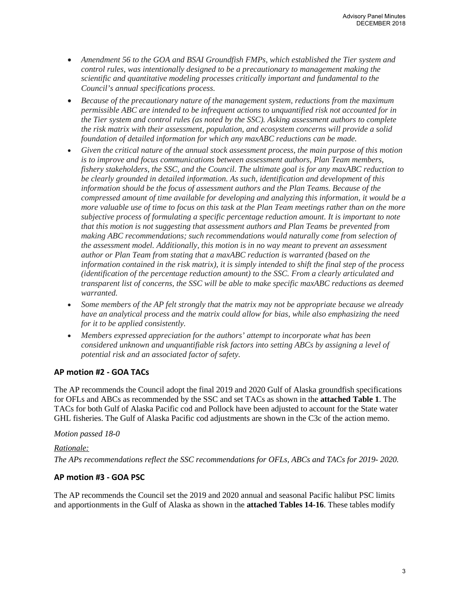- *Amendment 56 to the GOA and BSAI Groundfish FMPs, which established the Tier system and control rules, was intentionally designed to be a precautionary to management making the scientific and quantitative modeling processes critically important and fundamental to the Council's annual specifications process.*
- *Because of the precautionary nature of the management system, reductions from the maximum permissible ABC are intended to be infrequent actions to unquantified risk not accounted for in the Tier system and control rules (as noted by the SSC). Asking assessment authors to complete the risk matrix with their assessment, population, and ecosystem concerns will provide a solid foundation of detailed information for which any maxABC reductions can be made.*
- *Given the critical nature of the annual stock assessment process, the main purpose of this motion is to improve and focus communications between assessment authors, Plan Team members, fishery stakeholders, the SSC, and the Council. The ultimate goal is for any maxABC reduction to be clearly grounded in detailed information. As such, identification and development of this information should be the focus of assessment authors and the Plan Teams. Because of the compressed amount of time available for developing and analyzing this information, it would be a more valuable use of time to focus on this task at the Plan Team meetings rather than on the more subjective process of formulating a specific percentage reduction amount. It is important to note that this motion is not suggesting that assessment authors and Plan Teams be prevented from making ABC recommendations; such recommendations would naturally come from selection of the assessment model. Additionally, this motion is in no way meant to prevent an assessment author or Plan Team from stating that a maxABC reduction is warranted (based on the information contained in the risk matrix), it is simply intended to shift the final step of the process (identification of the percentage reduction amount) to the SSC. From a clearly articulated and transparent list of concerns, the SSC will be able to make specific maxABC reductions as deemed warranted.*
- *Some members of the AP felt strongly that the matrix may not be appropriate because we already have an analytical process and the matrix could allow for bias, while also emphasizing the need for it to be applied consistently.*
- *Members expressed appreciation for the authors' attempt to incorporate what has been considered unknown and unquantifiable risk factors into setting ABCs by assigning a level of potential risk and an associated factor of safety.*

### **AP motion #2 - GOA TACs**

The AP recommends the Council adopt the final 2019 and 2020 Gulf of Alaska groundfish specifications for OFLs and ABCs as recommended by the SSC and set TACs as shown in the **attached Table 1**. The TACs for both Gulf of Alaska Pacific cod and Pollock have been adjusted to account for the State water GHL fisheries. The Gulf of Alaska Pacific cod adjustments are shown in the C3c of the action memo.

#### *Motion passed 18-0*

### *Rationale:*

*The APs recommendations reflect the SSC recommendations for OFLs, ABCs and TACs for 2019- 2020.*

#### **AP motion #3 - GOA PSC**

The AP recommends the Council set the 2019 and 2020 annual and seasonal Pacific halibut PSC limits and apportionments in the Gulf of Alaska as shown in the **attached Tables 14-16**. These tables modify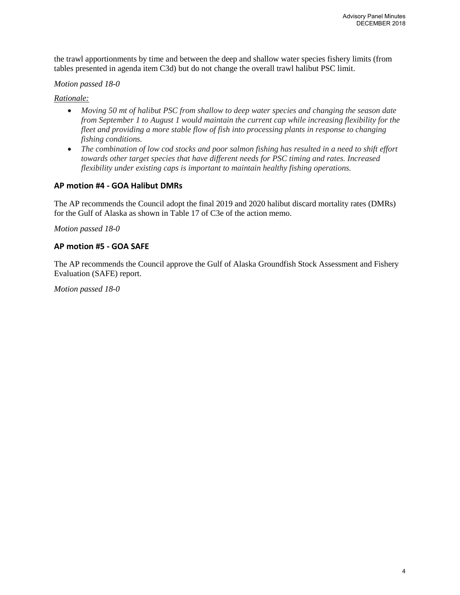the trawl apportionments by time and between the deep and shallow water species fishery limits (from tables presented in agenda item C3d) but do not change the overall trawl halibut PSC limit.

#### *Motion passed 18-0*

*Rationale:* 

- *Moving 50 mt of halibut PSC from shallow to deep water species and changing the season date from September 1 to August 1 would maintain the current cap while increasing flexibility for the fleet and providing a more stable flow of fish into processing plants in response to changing fishing conditions.*
- *The combination of low cod stocks and poor salmon fishing has resulted in a need to shift effort towards other target species that have different needs for PSC timing and rates. Increased flexibility under existing caps is important to maintain healthy fishing operations.*

#### **AP motion #4 - GOA Halibut DMRs**

The AP recommends the Council adopt the final 2019 and 2020 halibut discard mortality rates (DMRs) for the Gulf of Alaska as shown in Table 17 of C3e of the action memo.

*Motion passed 18-0*

#### **AP motion #5 - GOA SAFE**

The AP recommends the Council approve the Gulf of Alaska Groundfish Stock Assessment and Fishery Evaluation (SAFE) report.

*Motion passed 18-0*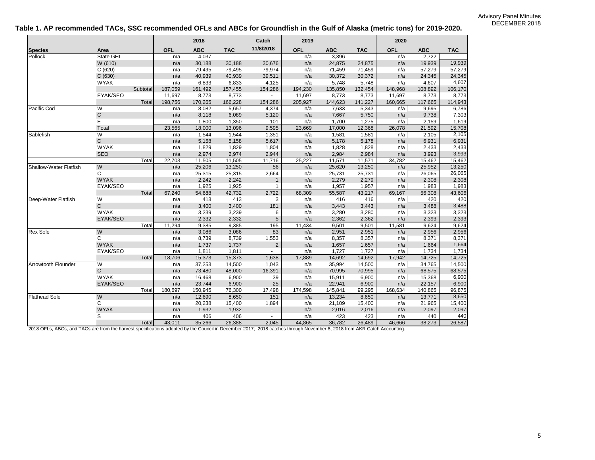#### **Table 1. AP recommended TACs, SSC recommended OFLs and ABCs for Groundfish in the Gulf of Alaska (metric tons) for 2019-2020.**

|                                                                                                                                                                         |              |          |            | 2018       |            | Catch          | 2019       |            |            | 2020       |            |            |
|-------------------------------------------------------------------------------------------------------------------------------------------------------------------------|--------------|----------|------------|------------|------------|----------------|------------|------------|------------|------------|------------|------------|
| <b>Species</b>                                                                                                                                                          | Area         |          | <b>OFL</b> | <b>ABC</b> | <b>TAC</b> | 11/8/2018      | <b>OFL</b> | <b>ABC</b> | <b>TAC</b> | <b>OFL</b> | <b>ABC</b> | <b>TAC</b> |
| Pollock                                                                                                                                                                 | State GHL    |          | n/a        | 4,037      | ÷.         |                | n/a        | 3,396      |            | n/a        | 2,722      | $\sim$     |
|                                                                                                                                                                         | W (610)      |          | n/a        | 30,188     | 30,188     | 30,676         | n/a        | 24,875     | 24,875     | n/a        | 19,939     | 19,939     |
|                                                                                                                                                                         | C(620)       |          | n/a        | 79,495     | 79,495     | 79,974         | n/a        | 71,459     | 71,459     | n/a        | 57,279     | 57,279     |
|                                                                                                                                                                         | C(630)       |          | n/a        | 40,939     | 40,939     | 39,511         | n/a        | 30,372     | 30,372     | n/a        | 24,345     | 24,345     |
|                                                                                                                                                                         | <b>WYAK</b>  |          | n/a        | 6,833      | 6,833      | 4,125          | n/a        | 5,748      | 5,748      | n/a        | 4,607      | 4,607      |
|                                                                                                                                                                         |              | Subtotal | 187,059    | 161,492    | 157,455    | 154,286        | 194,230    | 135,850    | 132,454    | 148,968    | 108,892    | 106,170    |
|                                                                                                                                                                         | EYAK/SEO     |          | 11,697     | 8,773      | 8,773      |                | 11,697     | 8,773      | 8,773      | 11,697     | 8,773      | 8,773      |
|                                                                                                                                                                         |              | Total    | 198,756    | 170,265    | 166,228    | 154,286        | 205,927    | 144,623    | 141,227    | 160,665    | 117,665    | 114,943    |
| Pacific Cod                                                                                                                                                             | W            |          | n/a        | 8,082      | 5,657      | 4,374          | n/a        | 7,633      | 5,343      | n/a        | 9,695      | 6,786      |
|                                                                                                                                                                         | $\mathbf C$  |          | n/a        | 8,118      | 6,089      | 5,120          | n/a        | 7,667      | 5,750      | n/a        | 9,738      | 7,303      |
|                                                                                                                                                                         | E            |          | n/a        | 1,800      | 1,350      | 101            | n/a        | 1,700      | 1,275      | n/a        | 2,159      | 1,619      |
|                                                                                                                                                                         | Total        |          | 23,565     | 18,000     | 13,096     | 9,595          | 23,669     | 17,000     | 12,368     | 26,078     | 21,592     | 15,708     |
| Sablefish                                                                                                                                                               | W            |          | n/a        | 1,544      | 1,544      | 1,351          | n/a        | 1,581      | 1,581      | n/a        | 2,105      | 2,105      |
|                                                                                                                                                                         | $\mathsf{C}$ |          | n/a        | 5,158      | 5,158      | 5,617          | n/a        | 5,178      | 5,178      | n/a        | 6,931      | 6,931      |
|                                                                                                                                                                         | <b>WYAK</b>  |          | n/a        | 1,829      | 1,829      | 1,804          | n/a        | 1,828      | 1,828      | n/a        | 2,433      | 2,433      |
|                                                                                                                                                                         | <b>SEO</b>   |          | n/a        | 2,974      | 2,974      | 2,944          | n/a        | 2,984      | 2,984      | n/a        | 3,993      | 3,993      |
|                                                                                                                                                                         |              | Total    | 22,703     | 11,505     | 11,505     | 11,716         | 25,227     | 11,571     | 11,571     | 34,782     | 15,462     | 15,462     |
| Shallow-Water Flatfish                                                                                                                                                  | W            |          | n/a        | 25,206     | 13,250     | 56             | n/a        | 25,620     | 13,250     | n/a        | 25,952     | 13,250     |
|                                                                                                                                                                         | C            |          | n/a        | 25,315     | 25,315     | 2,664          | n/a        | 25,731     | 25,731     | n/a        | 26,065     | 26,065     |
|                                                                                                                                                                         | <b>WYAK</b>  |          | n/a        | 2,242      | 2,242      | $\mathbf{1}$   | n/a        | 2,279      | 2,279      | n/a        | 2,308      | 2,308      |
|                                                                                                                                                                         | EYAK/SEO     |          | n/a        | 1,925      | 1,925      | $\overline{1}$ | n/a        | 1,957      | 1,957      | n/a        | 1,983      | 1,983      |
|                                                                                                                                                                         |              | Total    | 67,240     | 54,688     | 42,732     | 2,722          | 68,309     | 55,587     | 43,217     | 69,167     | 56,308     | 43,606     |
| Deep-Water Flatfish                                                                                                                                                     | W            |          | n/a        | 413        | 413        | 3              | n/a        | 416        | 416        | n/a        | 420        | 420        |
|                                                                                                                                                                         | $\mathsf{C}$ |          | n/a        | 3,400      | 3,400      | 181            | n/a        | 3,443      | 3,443      | n/a        | 3,488      | 3,488      |
|                                                                                                                                                                         | <b>WYAK</b>  |          | n/a        | 3,239      | 3,239      | 6              | n/a        | 3,280      | 3,280      | n/a        | 3,323      | 3,323      |
|                                                                                                                                                                         | EYAK/SEO     |          | n/a        | 2,332      | 2,332      | 5              | n/a        | 2,362      | 2,362      | n/a        | 2,393      | 2,393      |
|                                                                                                                                                                         |              | Total    | 11,294     | 9,385      | 9,385      | 195            | 11,434     | 9,501      | 9,501      | 11,581     | 9,624      | 9,624      |
| <b>Rex Sole</b>                                                                                                                                                         | W            |          | n/a        | 3,086      | 3,086      | 83             | n/a        | 2,951      | 2,951      | n/a        | 2,956      | 2,956      |
|                                                                                                                                                                         | C            |          | n/a        | 8,739      | 8,739      | 1,553          | n/a        | 8,357      | 8,357      | n/a        | 8,371      | 8,371      |
|                                                                                                                                                                         | <b>WYAK</b>  |          | n/a        | 1,737      | 1,737      | $\overline{2}$ | n/a        | 1,657      | 1,657      | n/a        | 1,664      | 1,664      |
|                                                                                                                                                                         | EYAK/SEO     |          | n/a        | 1,811      | 1,811      | $\sim$         | n/a        | 1,727      | 1.727      | n/a        | 1,734      | 1,734      |
|                                                                                                                                                                         |              | Total    | 18,706     | 15,373     | 15,373     | 1,638          | 17,889     | 14,692     | 14,692     | 17,942     | 14,725     | 14,725     |
| Arrowtooth Flounder                                                                                                                                                     | W            |          | n/a        | 37,253     | 14,500     | 1,043          | n/a        | 35,994     | 14,500     | n/a        | 34,765     | 14,500     |
|                                                                                                                                                                         | $\mathsf{C}$ |          | n/a        | 73,480     | 48,000     | 16,391         | n/a        | 70,995     | 70,995     | n/a        | 68,575     | 68,575     |
|                                                                                                                                                                         | <b>WYAK</b>  |          | n/a        | 16,468     | 6,900      | 39             | n/a        | 15,911     | 6,900      | n/a        | 15,368     | 6,900      |
|                                                                                                                                                                         | EYAK/SEO     |          | n/a        | 23,744     | 6,900      | 25             | n/a        | 22,941     | 6,900      | n/a        | 22,157     | 6,900      |
|                                                                                                                                                                         |              | Total    | 180,697    | 150,945    | 76,300     | 17,498         | 174,598    | 145,841    | 99,295     | 168,634    | 140,865    | 96,875     |
| <b>Flathead Sole</b>                                                                                                                                                    | W            |          | n/a        | 12,690     | 8,650      | 151            | n/a        | 13,234     | 8,650      | n/a        | 13,771     | 8,650      |
|                                                                                                                                                                         | C            |          | n/a        | 20,238     | 15,400     | 1,894          | n/a        | 21,109     | 15,400     | n/a        | 21,965     | 15,400     |
|                                                                                                                                                                         | <b>WYAK</b>  |          | n/a        | 1,932      | 1,932      | $\sim$         | n/a        | 2,016      | 2,016      | n/a        | 2,097      | 2,097      |
|                                                                                                                                                                         | S            |          | n/a        | 406        | 406        | $\sim$         | n/a        | 423        | 423        | n/a        | 440        | 440        |
|                                                                                                                                                                         |              | Total    | 43,011     | 35,266     | 26,388     | 2,045          | 44,865     | 36,782     | 26,489     | 46,666     | 38,273     | 26,587     |
| 2018 OFLs, ABCs, and TACs are from the harvest specifications adopted by the Council in December 2017; 2018 catches through November 8, 2018 from AKR Catch Accounting. |              |          |            |            |            |                |            |            |            |            |            |            |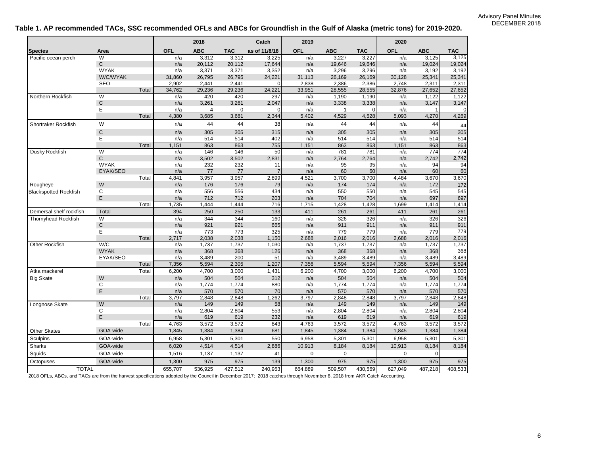#### **Table 1. AP recommended TACs, SSC recommended OFLs and ABCs for Groundfish in the Gulf of Alaska (metric tons) for 2019-2020.**

|                              |              |       |            | 2018       |            | Catch         | 2019        |              |            | 2020       |            |             |
|------------------------------|--------------|-------|------------|------------|------------|---------------|-------------|--------------|------------|------------|------------|-------------|
| <b>Species</b>               | Area         |       | <b>OFL</b> | <b>ABC</b> | <b>TAC</b> | as of 11/8/18 | <b>OFL</b>  | <b>ABC</b>   | <b>TAC</b> | <b>OFL</b> | <b>ABC</b> | <b>TAC</b>  |
| Pacific ocean perch          | W            |       | n/a        | 3,312      | 3,312      | 3,225         | n/a         | 3,227        | 3,227      | n/a        | 3,125      | 3,125       |
|                              | $\mathsf{C}$ |       | n/a        | 20,112     | 20,112     | 17,644        | n/a         | 19,646       | 19,646     | n/a        | 19,024     | 19,024      |
|                              | <b>WYAK</b>  |       | n/a        | 3,371      | 3,371      | 3,352         | n/a         | 3,296        | 3,296      | n/a        | 3,192      | 3,192       |
|                              | W/C/WYAK     |       | 31,860     | 26,795     | 26,795     | 24,221        | 31,113      | 26,169       | 26,169     | 30,128     | 25,341     | 25,341      |
|                              | <b>SEO</b>   |       | 2,902      | 2,441      | 2,441      | 0             | 2,838       | 2,386        | 2,386      | 2,748      | 2,311      | 2,311       |
|                              |              | Total | 34,762     | 29,236     | 29,236     | 24,221        | 33,951      | 28,555       | 28,555     | 32,876     | 27,652     | 27,652      |
| Northern Rockfish            | W            |       | n/a        | 420        | 420        | 297           | n/a         | 1,190        | 1,190      | n/a        | 1,122      | 1,122       |
|                              | $\mathbf C$  |       | n/a        | 3,261      | 3,261      | 2,047         | n/a         | 3,338        | 3,338      | n/a        | 3,147      | 3,147       |
|                              | Ε            |       | n/a        | 4          | 0          | O             | n/a         | $\mathbf{1}$ | 0          | n/a        | -1         | $\mathbf 0$ |
|                              |              | Total | 4,380      | 3,685      | 3,681      | 2,344         | 5,402       | 4,529        | 4,528      | 5,093      | 4,270      | 4,269       |
| Shortraker Rockfish          | W            |       | n/a        | 44         | 44         | 38            | n/a         | 44           | 44         | n/a        | 44         | 44          |
|                              | $\mathsf C$  |       | n/a        | 305        | 305        | 315           | n/a         | 305          | 305        | n/a        | 305        | 305         |
|                              | E            |       | n/a        | 514        | 514        | 402           | n/a         | 514          | 514        | n/a        | 514        | 514         |
|                              |              | Total | 1,151      | 863        | 863        | 755           | 1,151       | 863          | 863        | 1,151      | 863        | 863         |
| Dusky Rockfish               | W            |       | n/a        | 146        | 146        | 50            | n/a         | 781          | 781        | n/a        | 774        | 774         |
|                              | $\mathsf{C}$ |       | n/a        | 3,502      | 3,502      | 2,831         | n/a         | 2,764        | 2,764      | n/a        | 2,742      | 2,742       |
|                              | <b>WYAK</b>  |       | n/a        | 232        | 232        | 11            | n/a         | 95           | 95         | n/a        | 94         | 94          |
|                              | EYAK/SEO     |       | n/a        | 77         | 77         | 7             | n/a         | 60           | 60         | n/a        | 60         | 60          |
|                              |              | Total | 4,841      | 3,957      | 3,957      | 2,899         | 4,521       | 3,700        | 3,700      | 4,484      | 3,670      | 3,670       |
| Rougheye                     | W            |       | n/a        | 176        | 176        | 79            | n/a         | 174          | 174        | n/a        | 172        | 172         |
| <b>Blackspotted Rockfish</b> | C            |       | n/a        | 556        | 556        | 434           | n/a         | 550          | 550        | n/a        | 545        | 545         |
|                              | $\mathsf E$  |       | n/a        | 712        | 712        | 203           | n/a         | 704          | 704        | n/a        | 697        | 697         |
|                              |              | Total | 1,735      | 1,444      | 1,444      | 716           | 1,715       | 1,428        | 1,428      | 1,699      | 1,414      | 1,414       |
| Demersal shelf rockfish      | Total        |       | 394        | 250        | 250        | 133           | 411         | 261          | 261        | 411        | 261        | 261         |
| Thornyhead Rockfish          | W            |       | n/a        | 344        | 344        | 160           | n/a         | 326          | 326        | n/a        | 326        | 326         |
|                              | $\mathbf C$  |       | n/a        | 921        | 921        | 665           | n/a         | 911          | 911        | n/a        | 911        | 911         |
|                              | E            |       | n/a        | 773        | 773        | 325           | n/a         | 779          | 779        | n/a        | 779        | 779         |
|                              |              | Total | 2,717      | 2,038      | 2,038      | 1,150         | 2,688       | 2,016        | 2,016      | 2,688      | 2,016      | 2,016       |
| Other Rockfish               | W/C          |       | n/a        | 1,737      | 1,737      | 1,030         | n/a         | 1,737        | 1,737      | n/a        | 1,737      | 1,737       |
|                              | <b>WYAK</b>  |       | n/a        | 368        | 368        | 126           | n/a         | 368          | 368        | n/a        | 368        | 368         |
|                              | EYAK/SEO     |       | n/a        | 3,489      | 200        | 51            | n/a         | 3,489        | 3,489      | n/a        | 3,489      | 3,489       |
|                              |              | Total | 7,356      | 5,594      | 2,305      | 1,207         | 7,356       | 5,594        | 5,594      | 7,356      | 5,594      | 5,594       |
| Atka mackerel                |              | Total | 6,200      | 4,700      | 3,000      | 1,431         | 6,200       | 4,700        | 3,000      | 6,200      | 4,700      | 3,000       |
| <b>Big Skate</b>             | W            |       | n/a        | 504        | 504        | 312           | n/a         | 504          | 504        | n/a        | 504        | 504         |
|                              | C            |       | n/a        | 1,774      | 1,774      | 880           | n/a         | 1,774        | 1,774      | n/a        | 1,774      | 1,774       |
|                              | $\mathsf E$  |       | n/a        | 570        | 570        | 70            | n/a         | 570          | 570        | n/a        | 570        | 570         |
|                              |              | Total | 3,797      | 2,848      | 2,848      | 1,262         | 3,797       | 2,848        | 2,848      | 3,797      | 2,848      | 2,848       |
| Longnose Skate               | W            |       | n/a        | 149        | 149        | 58            | n/a         | 149          | 149        | n/a        | 149        | 149         |
|                              | C            |       | n/a        | 2,804      | 2,804      | 553           | n/a         | 2,804        | 2,804      | n/a        | 2,804      | 2,804       |
|                              | $\mathsf E$  |       | n/a        | 619        | 619        | 232           | n/a         | 619          | 619        | n/a        | 619        | 619         |
|                              |              | Total | 4,763      | 3,572      | 3,572      | 843           | 4,763       | 3,572        | 3,572      | 4,763      | 3,572      | 3,572       |
| <b>Other Skates</b>          | GOA-wide     |       | 1,845      | 1,384      | 1,384      | 681           | 1,845       | 1,384        | 1,384      | 1,845      | 1,384      | 1,384       |
| Sculpins                     | GOA-wide     |       | 6,958      | 5,301      | 5,301      | 550           | 6,958       | 5,301        | 5,301      | 6,958      | 5,301      | 5,301       |
| Sharks                       | GOA-wide     |       | 6,020      | 4,514      | 4,514      | 2,886         | 10,913      | 8,184        | 8,184      | 10,913     | 8,184      | 8,184       |
| Squids                       | GOA-wide     |       | 1,516      | 1,137      | 1,137      | 41            | $\mathbf 0$ | 0            |            | 0          | $\Omega$   |             |
| <b>Octopuses</b>             | GOA-wide     |       | 1,300      | 975        | 975        | 139           | 1,300       | 975          | 975        | 1,300      | 975        | 975         |
| <b>TOTAL</b>                 |              |       | 655,707    | 536,925    | 427,512    | 240,953       | 664,889     | 509.507      | 430,569    | 627,049    | 487,218    | 408,533     |

2018 OFLs, ABCs, and TACs are from the harvest specifications adopted by the Council in December 2017; 2018 catches through November 8, 2018 from AKR Catch Accounting.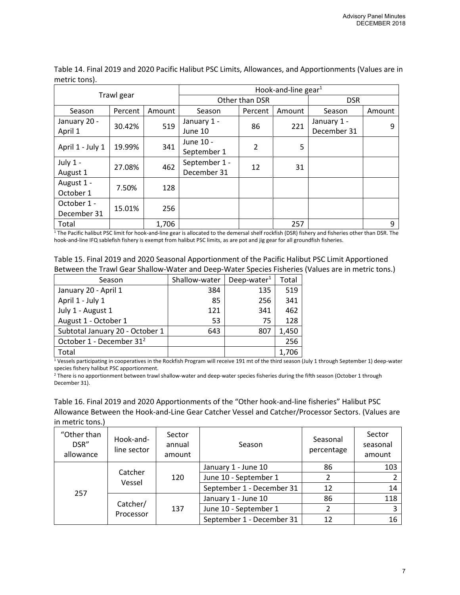| Trawl gear       |         |        | Hook-and-line gear $1$ |                |            |             |        |  |  |  |
|------------------|---------|--------|------------------------|----------------|------------|-------------|--------|--|--|--|
|                  |         |        |                        | Other than DSR | <b>DSR</b> |             |        |  |  |  |
| Season           | Percent | Amount | Season                 | Percent        | Amount     | Season      | Amount |  |  |  |
| January 20 -     | 30.42%  | 519    | January 1 -            | 86             | 221        | January 1 - | 9      |  |  |  |
| April 1          |         |        | June 10                |                |            | December 31 |        |  |  |  |
| April 1 - July 1 | 19.99%  | 341    | June 10 -              | $\overline{2}$ | 5          |             |        |  |  |  |
|                  |         |        | September 1            |                |            |             |        |  |  |  |
| July 1 -         | 27.08%  | 462    | September 1 -          | 12             | 31         |             |        |  |  |  |
| August 1         |         |        | December 31            |                |            |             |        |  |  |  |
| August 1 -       | 7.50%   |        |                        |                | 128        |             |        |  |  |  |
| October 1        |         |        |                        |                |            |             |        |  |  |  |
| October 1 -      |         |        |                        |                |            |             |        |  |  |  |
| December 31      | 15.01%  | 256    |                        |                |            |             |        |  |  |  |
| Total            |         | 1,706  |                        |                | 257        |             | 9      |  |  |  |

Table 14. Final 2019 and 2020 Pacific Halibut PSC Limits, Allowances, and Apportionments (Values are in metric tons).

<sup>1</sup> The Pacific halibut PSC limit for hook-and-line gear is allocated to the demersal shelf rockfish (DSR) fishery and fisheries other than DSR. The hook-and-line IFQ sablefish fishery is exempt from halibut PSC limits, as are pot and jig gear for all groundfish fisheries.

| Table 15. Final 2019 and 2020 Seasonal Apportionment of the Pacific Halibut PSC Limit Apportioned  |
|----------------------------------------------------------------------------------------------------|
| Between the Trawl Gear Shallow-Water and Deep-Water Species Fisheries (Values are in metric tons.) |

| Season                               | Shallow-water | Deep-water $1$ | Total |
|--------------------------------------|---------------|----------------|-------|
| January 20 - April 1                 | 384           | 135            | 519   |
| April 1 - July 1                     | 85            | 256            | 341   |
| July 1 - August 1                    | 121           | 341            | 462   |
| August 1 - October 1                 | 53            | 75             | 128   |
| Subtotal January 20 - October 1      | 643           | 807            | 1,450 |
| October 1 - December 31 <sup>2</sup> |               |                | 256   |
| Total                                |               |                | 1,706 |

<sup>1</sup> Vessels participating in cooperatives in the Rockfish Program will receive 191 mt of the third season (July 1 through September 1) deep-water species fishery halibut PSC apportionment.

<sup>2</sup> There is no apportionment between trawl shallow-water and deep-water species fisheries during the fifth season (October 1 through December 31).

Table 16. Final 2019 and 2020 Apportionments of the "Other hook-and-line fisheries" Halibut PSC Allowance Between the Hook-and-Line Gear Catcher Vessel and Catcher/Processor Sectors. (Values are in metric tons.)

| "Other than<br>DSR"<br>allowance | Hook-and-<br>line sector | Sector<br>annual<br>amount | Season                    | Seasonal<br>percentage | Sector<br>seasonal<br>amount |
|----------------------------------|--------------------------|----------------------------|---------------------------|------------------------|------------------------------|
| 257                              | Catcher                  |                            | January 1 - June 10       | 86                     | 103                          |
|                                  | Vessel                   | 120                        | June 10 - September 1     |                        |                              |
|                                  |                          |                            | September 1 - December 31 | 12                     | 14                           |
|                                  |                          |                            | January 1 - June 10       | 86                     | 118                          |
|                                  | Catcher/                 | 137                        | June 10 - September 1     |                        | ∍                            |
|                                  | Processor                |                            | September 1 - December 31 | 12                     | 16                           |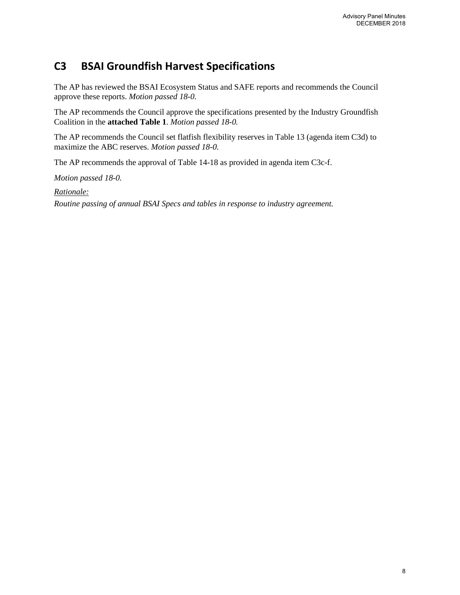# **C3 BSAI Groundfish Harvest Specifications**

The AP has reviewed the BSAI Ecosystem Status and SAFE reports and recommends the Council approve these reports. *Motion passed 18-0.*

The AP recommends the Council approve the specifications presented by the Industry Groundfish Coalition in the **attached Table 1**. *Motion passed 18-0.*

The AP recommends the Council set flatfish flexibility reserves in Table 13 (agenda item C3d) to maximize the ABC reserves. *Motion passed 18-0.*

The AP recommends the approval of Table 14-18 as provided in agenda item C3c-f.

*Motion passed 18-0.*

*Rationale:*

*Routine passing of annual BSAI Specs and tables in response to industry agreement.*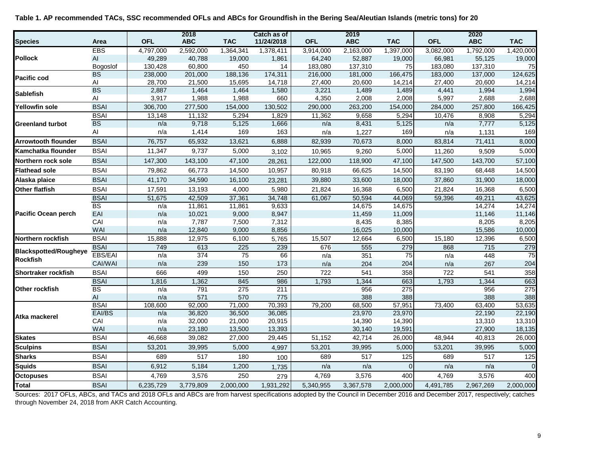|                              |                              |            | 2018             |                  | Catch as of      |            | 2019             |                  |            | 2020             |                  |
|------------------------------|------------------------------|------------|------------------|------------------|------------------|------------|------------------|------------------|------------|------------------|------------------|
| <b>Species</b>               | Area                         | <b>OFL</b> | <b>ABC</b>       | <b>TAC</b>       | 11/24/2018       | <b>OFL</b> | <b>ABC</b>       | <b>TAC</b>       | <b>OFL</b> | <b>ABC</b>       | <b>TAC</b>       |
|                              | EBS                          | 4,797,000  | 2,592,000        | 1,364,341        | 1,378,411        | 3,914,000  | 2,163,000        | 1,397,000        | 3,082,000  | 1,792,000        | 1,420,000        |
| <b>Pollock</b>               | AI                           | 49,289     | 40,788           | 19,000           | 1,861            | 64,240     | 52,887           | 19,000           | 66,981     | 55,125           | 19,000           |
|                              | Bogoslof                     | 130,428    | 60,800           | 450              | 14               | 183,080    | 137,310          | 75               | 183,080    | 137,310          | 75               |
| <b>Pacific cod</b>           | <b>BS</b>                    | 238,000    | 201,000          | 188,136          | 174,311          | 216,000    | 181,000          | 166,475          | 183,000    | 137,000          | 124,625          |
|                              | Al                           | 28,700     | 21,500           | 15,695           | 14,718           | 27,400     | 20,600           | 14,214           | 27,400     | 20,600           | 14,214           |
| <b>Sablefish</b>             | <b>BS</b>                    | 2,887      | 1,464            | 1,464            | 1,580            | 3,221      | 1,489            | 1,489            | 4,441      | 1,994            | 1,994            |
|                              | $\mathsf{Al}\hspace{0.04cm}$ | 3,917      | 1,988            | 1,988            | 660              | 4,350      | 2,008            | 2,008            | 5,997      | 2,688            | 2,688            |
| Yellowfin sole               | <b>BSAI</b>                  | 306,700    | 277,500          | 154,000          | 130,502          | 290,000    | 263,200          | 154,000          | 284,000    | 257,800          | 166,425          |
|                              | <b>BSAI</b>                  | 13,148     | 11,132           | 5,294            | 1,829            | 11,362     | 9,658            | 5,294            | 10,476     | 8,908            | 5,294            |
| <b>Greenland turbot</b>      | <b>BS</b>                    | n/a        | 9,718            | 5,125            | 1,666            | n/a        | 8,431            | 5,125            | n/a        | 7,777            | 5,125            |
|                              | $\mathsf{Al}\hspace{0.04cm}$ | n/a        | 1,414            | 169              | 163              | n/a        | 1,227            | 169              | n/a        | 1,131            | 169              |
| <b>Arrowtooth flounder</b>   | <b>BSAI</b>                  | 76,757     | 65,932           | 13,621           | 6,888            | 82,939     | 70,673           | 8,000            | 83,814     | 71,411           | 8,000            |
| Kamchatka flounder           | <b>BSAI</b>                  | 11,347     | 9,737            | 5,000            | 3,102            | 10,965     | 9,260            | 5,000            | 11,260     | 9,509            | 5,000            |
| Northern rock sole           | <b>BSAI</b>                  | 147,300    | 143,100          | 47,100           | 28,261           | 122,000    | 118,900          | 47,100           | 147,500    | 143,700          | 57,100           |
| <b>Flathead sole</b>         | <b>BSAI</b>                  | 79,862     | 66,773           | 14,500           | 10,957           | 80,918     | 66,625           | 14,500           | 83,190     | 68,448           | 14,500           |
| Alaska plaice                | <b>BSAI</b>                  | 41,170     | 34,590           | 16,100           | 23,281           | 39,880     | 33,600           | 18,000           | 37,860     | 31,900           | 18,000           |
| <b>Other flatfish</b>        | <b>BSAI</b>                  | 17,591     | 13,193           | 4,000            | 5,980            | 21,824     | 16,368           | 6,500            | 21,824     | 16,368           | 6,500            |
|                              | <b>BSAI</b>                  | 51,675     | 42,509           | 37,361           | 34,748           | 61,067     | 50,594           | 44,069           | 59,396     | 49,211           | 43,625           |
|                              | BS                           | n/a        | 11,861           | 11,861           | 9,633            |            | 14,675           | 14,675           |            | 14,274           | 14,274           |
| Pacific Ocean perch          | EAI                          | n/a        | 10,021           | 9,000            | 8,947            |            | 11,459           | 11,009           |            | 11,146           | 11,146           |
|                              | CAI                          | n/a        | 7,787            | 7,500            | 7,312            |            | 8,435            | 8,385            |            | 8,205            | 8,205            |
|                              | WAI                          | n/a        | 12,840           | 9,000            | 8,856            |            | 16,025           | 10,000           |            | 15,586           | 10,000           |
| Northern rockfish            | <b>BSAI</b>                  | 15,888     | 12,975           | 6,100            | 5,765            | 15,507     | 12,664           | 6,500            | 15,180     | 12,396           | 6,500            |
| <b>Blackspotted/Rougheye</b> | <b>BSAI</b>                  | 749        | 613              | 225              | 239              | 676        | 555              | 279              | 868        | 715              | 279              |
| <b>Rockfish</b>              | <b>EBS/EAI</b>               | n/a        | 374              | 75               | 66               | n/a        | 351              | 75               | n/a        | 448              | 75               |
|                              | CAI/WAI                      | n/a        | 239              | 150              | 173              | n/a        | 204              | 204              | n/a        | 267              | 204              |
| Shortraker rockfish          | <b>BSAI</b>                  | 666        | 499              | 150              | 250              | 722        | 541              | 358              | 722        | 541              | 358              |
|                              | <b>BSAI</b>                  | 1,816      | 1,362            | 845              | 986              | 1,793      | 1,344            | 663              | 1,793      | 1,344            | 663              |
| Other rockfish               | <b>BS</b>                    | n/a        | 791              | 275              | 211              |            | 956              | 275              |            | 956              | 275              |
|                              | $\mathsf{Al}\hspace{0.04cm}$ | n/a        | 571              | 570              | 775              |            | 388              | 388              |            | 388              | 388              |
|                              | <b>BSAI</b>                  | 108,600    | 92,000           | 71,000           | 70,393           | 79,200     | 68,500           | 57,951           | 73,400     | 63,400           | 53,635           |
| Atka mackerel                | EAI/BS<br>CAI                | n/a<br>n/a | 36,820<br>32,000 | 36,500<br>21,000 | 36,085<br>20,915 |            | 23,970           | 23,970<br>14,390 |            | 22,190<br>13,310 | 22,190           |
|                              | WAI                          | n/a        | 23,180           | 13,500           | 13,393           |            | 14,390<br>30,140 | 19,591           |            | 27,900           | 13,310<br>18,135 |
| <b>Skates</b>                | <b>BSAI</b>                  | 46,668     | 39,082           | 27,000           | 29,445           | 51,152     | 42,714           | 26,000           | 48,944     | 40,813           | 26,000           |
| <b>Sculpins</b>              | <b>BSAI</b>                  | 53,201     | 39,995           | 5,000            | 4,997            | 53,201     | 39,995           | 5,000            | 53,201     | 39,995           | 5,000            |
| <b>Sharks</b>                | <b>BSAI</b>                  | 689        | 517              | 180              | 100              | 689        | 517              | 125              | 689        | 517              | 125              |
| <b>Squids</b>                | <b>BSAI</b>                  | 6,912      | 5,184            | 1,200            | 1,735            | n/a        | n/a              | $\mathbf 0$      | n/a        | n/a              |                  |
| <b>Octopuses</b>             | <b>BSAI</b>                  | 4,769      | 3,576            | 250              | 279              | 4,769      | 3,576            | 400              | 4,769      | 3,576            | 400              |
|                              | <b>BSAI</b>                  |            |                  |                  | 1,931,292        |            |                  | 2,000,000        |            |                  | 2,000,000        |
| <b>Total</b>                 |                              | 6,235,729  | 3,779,809        | 2,000,000        |                  | 5,340,955  | 3,367,578        |                  | 4,491,785  | 2,967,269        |                  |

**Table 1. AP recommended TACs, SSC recommended OFLs and ABCs for Groundfish in the Bering Sea/Aleutian Islands (metric tons) for 20**

Sources: 2017 OFLs, ABCs, and TACs and 2018 OFLs and ABCs are from harvest specifications adopted by the Council in December 2016 and December 2017, respectively; catches through November 24, 2018 from AKR Catch Accounting.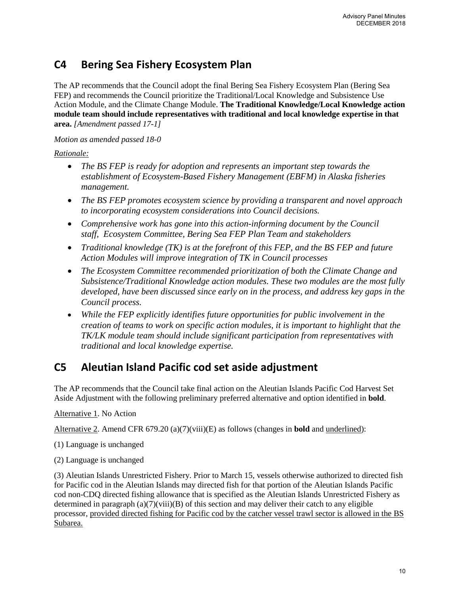# **C4 Bering Sea Fishery Ecosystem Plan**

The AP recommends that the Council adopt the final Bering Sea Fishery Ecosystem Plan (Bering Sea FEP) and recommends the Council prioritize the Traditional/Local Knowledge and Subsistence Use Action Module, and the Climate Change Module. **The Traditional Knowledge/Local Knowledge action module team should include representatives with traditional and local knowledge expertise in that area.** *[Amendment passed 17-1]*

### *Motion as amended passed 18-0*

### *Rationale:*

- *The BS FEP is ready for adoption and represents an important step towards the establishment of Ecosystem-Based Fishery Management (EBFM) in Alaska fisheries management.*
- *The BS FEP promotes ecosystem science by providing a transparent and novel approach to incorporating ecosystem considerations into Council decisions.*
- *Comprehensive work has gone into this action-informing document by the Council staff, Ecosystem Committee, Bering Sea FEP Plan Team and stakeholders*
- *Traditional knowledge (TK) is at the forefront of this FEP, and the BS FEP and future Action Modules will improve integration of TK in Council processes*
- *The Ecosystem Committee recommended prioritization of both the Climate Change and Subsistence/Traditional Knowledge action modules. These two modules are the most fully developed, have been discussed since early on in the process, and address key gaps in the Council process.*
- *While the FEP explicitly identifies future opportunities for public involvement in the creation of teams to work on specific action modules, it is important to highlight that the TK/LK module team should include significant participation from representatives with traditional and local knowledge expertise.*

# **C5 Aleutian Island Pacific cod set aside adjustment**

The AP recommends that the Council take final action on the Aleutian Islands Pacific Cod Harvest Set Aside Adjustment with the following preliminary preferred alternative and option identified in **bold**.

Alternative 1. No Action

Alternative 2. Amend CFR 679.20 (a)(7)(viii)(E) as follows (changes in **bold** and underlined):

- (1) Language is unchanged
- (2) Language is unchanged

(3) Aleutian Islands Unrestricted Fishery. Prior to March 15, vessels otherwise authorized to directed fish for Pacific cod in the Aleutian Islands may directed fish for that portion of the Aleutian Islands Pacific cod non-CDQ directed fishing allowance that is specified as the Aleutian Islands Unrestricted Fishery as determined in paragraph (a)(7)(viii)(B) of this section and may deliver their catch to any eligible processor, provided directed fishing for Pacific cod by the catcher vessel trawl sector is allowed in the BS Subarea.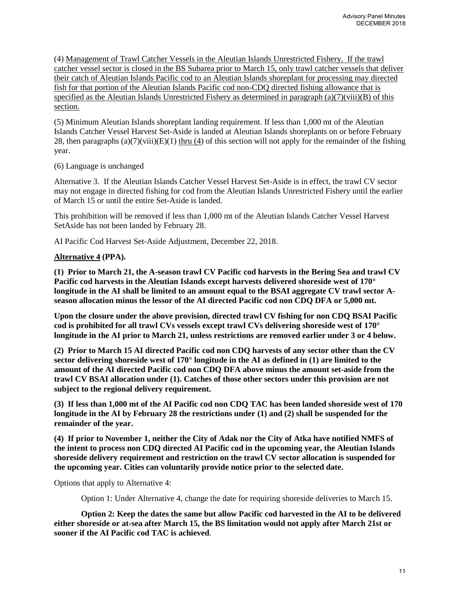(4) Management of Trawl Catcher Vessels in the Aleutian Islands Unrestricted Fishery. If the trawl catcher vessel sector is closed in the BS Subarea prior to March 15, only trawl catcher vessels that deliver their catch of Aleutian Islands Pacific cod to an Aleutian Islands shoreplant for processing may directed fish for that portion of the Aleutian Islands Pacific cod non-CDQ directed fishing allowance that is specified as the Aleutian Islands Unrestricted Fishery as determined in paragraph  $(a)(7)(viii)(B)$  of this section.

(5) Minimum Aleutian Islands shoreplant landing requirement. If less than 1,000 mt of the Aleutian Islands Catcher Vessel Harvest Set-Aside is landed at Aleutian Islands shoreplants on or before February 28, then paragraphs  $(a)(7)(viii)(E)(1)$  thru (4) of this section will not apply for the remainder of the fishing year.

(6) Language is unchanged

Alternative 3. If the Aleutian Islands Catcher Vessel Harvest Set-Aside is in effect, the trawl CV sector may not engage in directed fishing for cod from the Aleutian Islands Unrestricted Fishery until the earlier of March 15 or until the entire Set-Aside is landed.

This prohibition will be removed if less than 1,000 mt of the Aleutian Islands Catcher Vessel Harvest SetAside has not been landed by February 28.

AI Pacific Cod Harvest Set-Aside Adjustment, December 22, 2018.

#### **Alternative 4 (PPA).**

**(1) Prior to March 21, the A-season trawl CV Pacific cod harvests in the Bering Sea and trawl CV Pacific cod harvests in the Aleutian Islands except harvests delivered shoreside west of 170° longitude in the AI shall be limited to an amount equal to the BSAI aggregate CV trawl sector Aseason allocation minus the lessor of the AI directed Pacific cod non CDQ DFA or 5,000 mt.**

**Upon the closure under the above provision, directed trawl CV fishing for non CDQ BSAI Pacific cod is prohibited for all trawl CVs vessels except trawl CVs delivering shoreside west of 170° longitude in the AI prior to March 21, unless restrictions are removed earlier under 3 or 4 below.** 

**(2) Prior to March 15 AI directed Pacific cod non CDQ harvests of any sector other than the CV sector delivering shoreside west of 170° longitude in the AI as defined in (1) are limited to the amount of the AI directed Pacific cod non CDQ DFA above minus the amount set-aside from the trawl CV BSAI allocation under (1). Catches of those other sectors under this provision are not subject to the regional delivery requirement.**

**(3) If less than 1,000 mt of the AI Pacific cod non CDQ TAC has been landed shoreside west of 170 longitude in the AI by February 28 the restrictions under (1) and (2) shall be suspended for the remainder of the year.**

**(4) If prior to November 1, neither the City of Adak nor the City of Atka have notified NMFS of the intent to process non CDQ directed AI Pacific cod in the upcoming year, the Aleutian Islands shoreside delivery requirement and restriction on the trawl CV sector allocation is suspended for the upcoming year. Cities can voluntarily provide notice prior to the selected date.**

Options that apply to Alternative 4:

Option 1: Under Alternative 4, change the date for requiring shoreside deliveries to March 15.

**Option 2: Keep the dates the same but allow Pacific cod harvested in the AI to be delivered either shoreside or at-sea after March 15, the BS limitation would not apply after March 21st or sooner if the AI Pacific cod TAC is achieved**.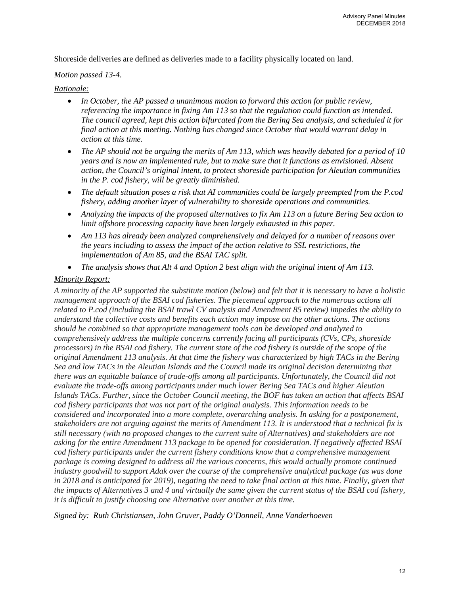Shoreside deliveries are defined as deliveries made to a facility physically located on land.

#### *Motion passed 13-4.*

#### *Rationale:*

- *In October, the AP passed a unanimous motion to forward this action for public review, referencing the importance in fixing Am 113 so that the regulation could function as intended. The council agreed, kept this action bifurcated from the Bering Sea analysis, and scheduled it for final action at this meeting. Nothing has changed since October that would warrant delay in action at this time.*
- *The AP should not be arguing the merits of Am 113, which was heavily debated for a period of 10 years and is now an implemented rule, but to make sure that it functions as envisioned. Absent action, the Council's original intent, to protect shoreside participation for Aleutian communities in the P. cod fishery, will be greatly diminished.*
- *The default situation poses a risk that AI communities could be largely preempted from the P.cod fishery, adding another layer of vulnerability to shoreside operations and communities.*
- *Analyzing the impacts of the proposed alternatives to fix Am 113 on a future Bering Sea action to limit offshore processing capacity have been largely exhausted in this paper.*
- *Am 113 has already been analyzed comprehensively and delayed for a number of reasons over the years including to assess the impact of the action relative to SSL restrictions, the implementation of Am 85, and the BSAI TAC split.*
- *The analysis shows that Alt 4 and Option 2 best align with the original intent of Am 113.*

#### *Minority Report:*

*A minority of the AP supported the substitute motion (below) and felt that it is necessary to have a holistic management approach of the BSAI cod fisheries. The piecemeal approach to the numerous actions all related to P.cod (including the BSAI trawl CV analysis and Amendment 85 review) impedes the ability to understand the collective costs and benefits each action may impose on the other actions. The actions should be combined so that appropriate management tools can be developed and analyzed to comprehensively address the multiple concerns currently facing all participants (CVs, CPs, shoreside processors) in the BSAI cod fishery. The current state of the cod fishery is outside of the scope of the original Amendment 113 analysis. At that time the fishery was characterized by high TACs in the Bering Sea and low TACs in the Aleutian Islands and the Council made its original decision determining that there was an equitable balance of trade-offs among all participants. Unfortunately, the Council did not evaluate the trade-offs among participants under much lower Bering Sea TACs and higher Aleutian Islands TACs. Further, since the October Council meeting, the BOF has taken an action that affects BSAI cod fishery participants that was not part of the original analysis. This information needs to be considered and incorporated into a more complete, overarching analysis. In asking for a postponement, stakeholders are not arguing against the merits of Amendment 113. It is understood that a technical fix is still necessary (with no proposed changes to the current suite of Alternatives) and stakeholders are not asking for the entire Amendment 113 package to be opened for consideration. If negatively affected BSAI cod fishery participants under the current fishery conditions know that a comprehensive management package is coming designed to address all the various concerns, this would actually promote continued industry goodwill to support Adak over the course of the comprehensive analytical package (as was done*  in 2018 and is anticipated for 2019), negating the need to take final action at this time. Finally, given that *the impacts of Alternatives 3 and 4 and virtually the same given the current status of the BSAI cod fishery, it is difficult to justify choosing one Alternative over another at this time.*

*Signed by: Ruth Christiansen, John Gruver, Paddy O'Donnell, Anne Vanderhoeven*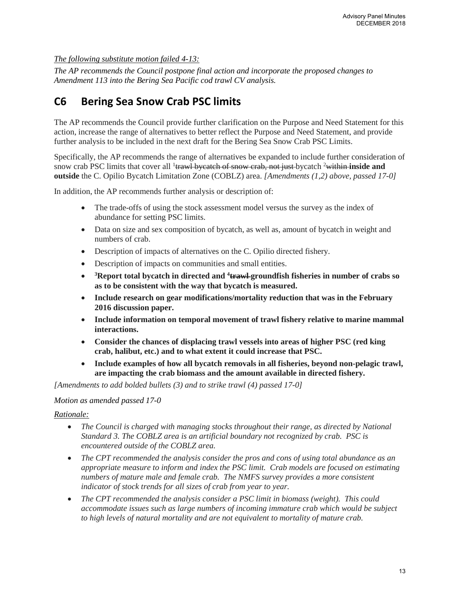*The following substitute motion failed 4-13:*

*The AP recommends the Council postpone final action and incorporate the proposed changes to Amendment 113 into the Bering Sea Pacific cod trawl CV analysis.* 

# **C6 Bering Sea Snow Crab PSC limits**

The AP recommends the Council provide further clarification on the Purpose and Need Statement for this action, increase the range of alternatives to better reflect the Purpose and Need Statement, and provide further analysis to be included in the next draft for the Bering Sea Snow Crab PSC Limits.

Specifically, the AP recommends the range of alternatives be expanded to include further consideration of snow crab PSC limits that cover all <sup>1</sup>trawl bycatch of snow crab, not just bycatch <sup>2</sup>within inside and **outside** the C. Opilio Bycatch Limitation Zone (COBLZ) area. *[Amendments (1,2) above, passed 17-0]*

In addition, the AP recommends further analysis or description of:

- The trade-offs of using the stock assessment model versus the survey as the index of abundance for setting PSC limits.
- Data on size and sex composition of bycatch, as well as, amount of bycatch in weight and numbers of crab.
- Description of impacts of alternatives on the C. Opilio directed fishery.
- Description of impacts on communities and small entities.
- <sup>3</sup>Report total bycatch in directed and <sup>4</sup>trawl-groundfish fisheries in number of crabs so **as to be consistent with the way that bycatch is measured.**
- **Include research on gear modifications/mortality reduction that was in the February 2016 discussion paper.**
- **Include information on temporal movement of trawl fishery relative to marine mammal interactions.**
- **Consider the chances of displacing trawl vessels into areas of higher PSC (red king crab, halibut, etc.) and to what extent it could increase that PSC.**
- **Include examples of how all bycatch removals in all fisheries, beyond non-pelagic trawl, are impacting the crab biomass and the amount available in directed fishery.**

*[Amendments to add bolded bullets (3) and to strike trawl (4) passed 17-0]*

#### *Motion as amended passed 17-0*

### *Rationale:*

- *The Council is charged with managing stocks throughout their range, as directed by National Standard 3. The COBLZ area is an artificial boundary not recognized by crab. PSC is encountered outside of the COBLZ area.*
- *The CPT recommended the analysis consider the pros and cons of using total abundance as an appropriate measure to inform and index the PSC limit. Crab models are focused on estimating numbers of mature male and female crab. The NMFS survey provides a more consistent indicator of stock trends for all sizes of crab from year to year.*
- *The CPT recommended the analysis consider a PSC limit in biomass (weight). This could accommodate issues such as large numbers of incoming immature crab which would be subject to high levels of natural mortality and are not equivalent to mortality of mature crab.*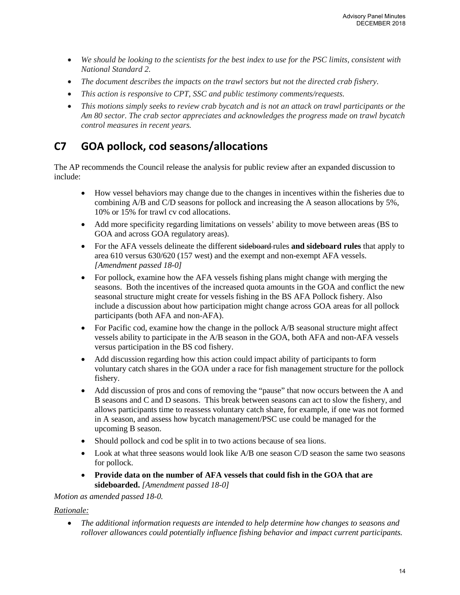- *We should be looking to the scientists for the best index to use for the PSC limits, consistent with National Standard 2.*
- *The document describes the impacts on the trawl sectors but not the directed crab fishery.*
- *This action is responsive to CPT, SSC and public testimony comments/requests.*
- *This motions simply seeks to review crab bycatch and is not an attack on trawl participants or the Am 80 sector. The crab sector appreciates and acknowledges the progress made on trawl bycatch control measures in recent years.*

# **C7 GOA pollock, cod seasons/allocations**

The AP recommends the Council release the analysis for public review after an expanded discussion to include:

- How vessel behaviors may change due to the changes in incentives within the fisheries due to combining A/B and C/D seasons for pollock and increasing the A season allocations by 5%, 10% or 15% for trawl cv cod allocations.
- Add more specificity regarding limitations on vessels' ability to move between areas (BS to GOA and across GOA regulatory areas).
- For the AFA vessels delineate the different sideboard-rules **and sideboard rules** that apply to area 610 versus 630/620 (157 west) and the exempt and non-exempt AFA vessels. *[Amendment passed 18-0]*
- For pollock, examine how the AFA vessels fishing plans might change with merging the seasons. Both the incentives of the increased quota amounts in the GOA and conflict the new seasonal structure might create for vessels fishing in the BS AFA Pollock fishery. Also include a discussion about how participation might change across GOA areas for all pollock participants (both AFA and non-AFA).
- For Pacific cod, examine how the change in the pollock A/B seasonal structure might affect vessels ability to participate in the A/B season in the GOA, both AFA and non-AFA vessels versus participation in the BS cod fishery.
- Add discussion regarding how this action could impact ability of participants to form voluntary catch shares in the GOA under a race for fish management structure for the pollock fishery.
- Add discussion of pros and cons of removing the "pause" that now occurs between the A and B seasons and C and D seasons. This break between seasons can act to slow the fishery, and allows participants time to reassess voluntary catch share, for example, if one was not formed in A season, and assess how bycatch management/PSC use could be managed for the upcoming B season.
- Should pollock and cod be split in to two actions because of sea lions.
- Look at what three seasons would look like A/B one season C/D season the same two seasons for pollock.
- **Provide data on the number of AFA vessels that could fish in the GOA that are sideboarded.** *[Amendment passed 18-0]*

#### *Motion as amended passed 18-0.*

#### *Rationale:*

• *The additional information requests are intended to help determine how changes to seasons and rollover allowances could potentially influence fishing behavior and impact current participants.*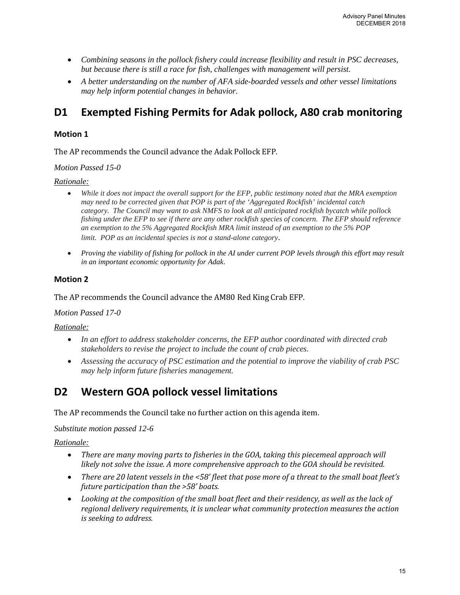- *Combining seasons in the pollock fishery could increase flexibility and result in PSC decreases, but because there is still a race for fish, challenges with management will persist.*
- *A better understanding on the number of AFA side-boarded vessels and other vessel limitations may help inform potential changes in behavior.*

# **D1 Exempted Fishing Permits for Adak pollock, A80 crab monitoring**

### **Motion 1**

The AP recommends the Council advance the Adak Pollock EFP.

*Motion Passed 15-0*

### *Rationale:*

- *While it does not impact the overall support for the EFP, public testimony noted that the MRA exemption may need to be corrected given that POP is part of the 'Aggregated Rockfish' incidental catch category. The Council may want to ask NMFS to look at all anticipated rockfish bycatch while pollock fishing under the EFP to see if there are any other rockfish species of concern. The EFP should reference an exemption to the 5% Aggregated Rockfish MRA limit instead of an exemption to the 5% POP limit. POP as an incidental species is not a stand-alone category*.
- *Proving the viability of fishing for pollock in the AI under current POP levels through this effort may result in an important economic opportunity for Adak*.

### **Motion 2**

The AP recommends the Council advance the AM80 Red King Crab EFP.

#### *Motion Passed 17-0*

#### *Rationale:*

- *In an effort to address stakeholder concerns, the EFP author coordinated with directed crab stakeholders to revise the project to include the count of crab pieces.*
- *Assessing the accuracy of PSC estimation and the potential to improve the viability of crab PSC may help inform future fisheries management.*

# **D2 Western GOA pollock vessel limitations**

The AP recommends the Council take no further action on this agenda item.

*Substitute motion passed 12-6*

### *Rationale:*

- *There are many moving parts to fisheries in the GOA, taking this piecemeal approach will likely not solve the issue. A more comprehensive approach to the GOA should be revisited.*
- *There are 20 latent vessels in the <58' fleet that pose more of a threat to the small boat fleet's future participation than the >58' boats.*
- *Looking at the composition of the small boat fleet and their residency, as well as the lack of regional delivery requirements, it is unclear what community protection measures the action is seeking to address.*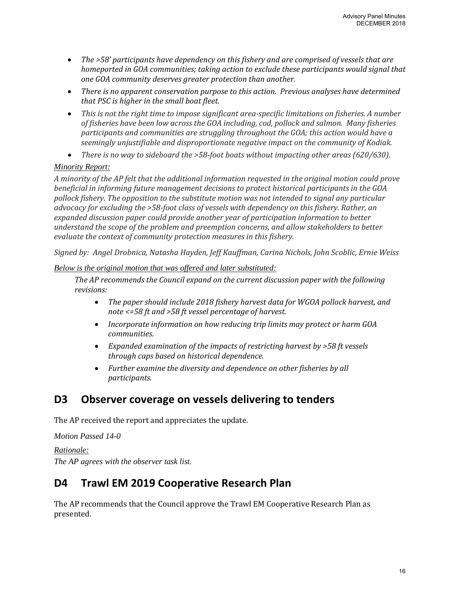- *The >58' participants have dependency on this fishery and are comprised of vessels that are homeported in GOA communities; taking action to exclude these participants would signal that one GOA community deserves greater protection than another.*
- *There is no apparent conservation purpose to this action. Previous analyses have determined that PSC is higher in the small boat fleet.*
- *This is not the right time to impose significant area-specific limitations on fisheries. A number of fisheries have been low across the GOA including, cod, pollock and salmon. Many fisheries participants and communities are struggling throughout the GOA; this action would have a seemingly unjustifiable and disproportionate negative impact on the community of Kodiak.*
- *There is no way to sideboard the >58-foot boats without impacting other areas (620/630).*

### *Minority Report:*

*A minority of the AP felt that the additional information requested in the original motion could prove beneficial in informing future management decisions to protect historical participants in the GOA pollock fishery. The opposition to the substitute motion was not intended to signal any particular advocacy for excluding the >58-foot class of vessels with dependency on this fishery. Rather, an expanded discussion paper could provide another year of participation information to better understand the scope of the problem and preemption concerns, and allow stakeholders to better evaluate the context of community protection measures in this fishery.* 

*Signed by: Angel Drobnica, Natasha Hayden, Jeff Kauffman, Carina Nichols, John Scoblic, Ernie Weiss*

### *Below is the original motion that was offered and later substituted:*

*The AP recommends the Council expand on the current discussion paper with the following revisions:*

- *The paper should include 2018 fishery harvest data for WGOA pollock harvest, and note <=58 ft and >58 ft vessel percentage of harvest.*
- *Incorporate information on how reducing trip limits may protect or harm GOA communities.*
- *Expanded examination of the impacts of restricting harvest by >58 ft vessels through caps based on historical dependence.*
- *Further examine the diversity and dependence on other fisheries by all participants.*

# **D3 Observer coverage on vessels delivering to tenders**

The AP received the report and appreciates the update.

*Motion Passed 14-0* 

*Rationale: The AP agrees with the observer task list.*

# **D4 Trawl EM 2019 Cooperative Research Plan**

The AP recommends that the Council approve the Trawl EM Cooperative Research Plan as presented.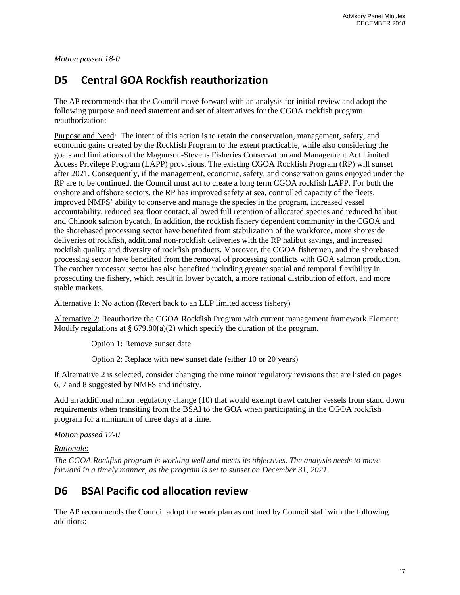*Motion passed 18-0* 

# **D5 Central GOA Rockfish reauthorization**

The AP recommends that the Council move forward with an analysis for initial review and adopt the following purpose and need statement and set of alternatives for the CGOA rockfish program reauthorization:

Purpose and Need: The intent of this action is to retain the conservation, management, safety, and economic gains created by the Rockfish Program to the extent practicable, while also considering the goals and limitations of the Magnuson-Stevens Fisheries Conservation and Management Act Limited Access Privilege Program (LAPP) provisions. The existing CGOA Rockfish Program (RP) will sunset after 2021. Consequently, if the management, economic, safety, and conservation gains enjoyed under the RP are to be continued, the Council must act to create a long term CGOA rockfish LAPP. For both the onshore and offshore sectors, the RP has improved safety at sea, controlled capacity of the fleets, improved NMFS' ability to conserve and manage the species in the program, increased vessel accountability, reduced sea floor contact, allowed full retention of allocated species and reduced halibut and Chinook salmon bycatch. In addition, the rockfish fishery dependent community in the CGOA and the shorebased processing sector have benefited from stabilization of the workforce, more shoreside deliveries of rockfish, additional non-rockfish deliveries with the RP halibut savings, and increased rockfish quality and diversity of rockfish products. Moreover, the CGOA fishermen, and the shorebased processing sector have benefited from the removal of processing conflicts with GOA salmon production. The catcher processor sector has also benefited including greater spatial and temporal flexibility in prosecuting the fishery, which result in lower bycatch, a more rational distribution of effort, and more stable markets.

Alternative 1: No action (Revert back to an LLP limited access fishery)

Alternative 2: Reauthorize the CGOA Rockfish Program with current management framework Element: Modify regulations at  $\S 679.80(a)(2)$  which specify the duration of the program.

Option 1: Remove sunset date

Option 2: Replace with new sunset date (either 10 or 20 years)

If Alternative 2 is selected, consider changing the nine minor regulatory revisions that are listed on pages 6, 7 and 8 suggested by NMFS and industry.

Add an additional minor regulatory change (10) that would exempt trawl catcher vessels from stand down requirements when transiting from the BSAI to the GOA when participating in the CGOA rockfish program for a minimum of three days at a time.

*Motion passed 17-0* 

*Rationale:* 

*The CGOA Rockfish program is working well and meets its objectives. The analysis needs to move forward in a timely manner, as the program is set to sunset on December 31, 2021.* 

# **D6 BSAI Pacific cod allocation review**

The AP recommends the Council adopt the work plan as outlined by Council staff with the following additions: